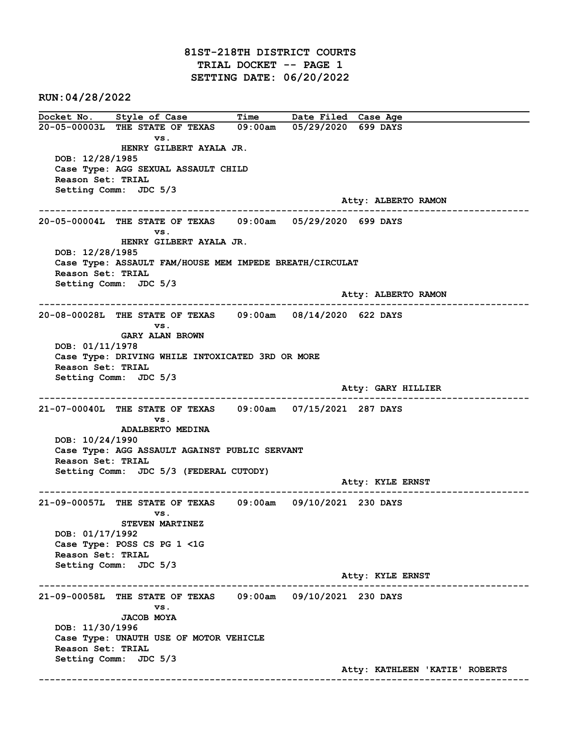81ST-218TH DISTRICT COURTS TRIAL DOCKET -- PAGE 1 SETTING DATE: 06/20/2022

RUN:04/28/2022

Docket No. Style of Case Time Date Filed Case Age 20-05-00003L THE STATE OF TEXAS 09:00am 05/29/2020 699 DAYS vs. HENRY GILBERT AYALA JR. DOB: 12/28/1985 Case Type: AGG SEXUAL ASSAULT CHILD Reason Set: TRIAL Setting Comm: JDC 5/3 Atty: ALBERTO RAMON ------------------------------------------------------------------------------------------------------------------------ 20-05-00004L THE STATE OF TEXAS 09:00am 05/29/2020 699 DAYS vs. HENRY GILBERT AYALA JR. DOB: 12/28/1985 Case Type: ASSAULT FAM/HOUSE MEM IMPEDE BREATH/CIRCULAT Reason Set: TRIAL Setting Comm: JDC 5/3 Atty: ALBERTO RAMON ------------------------------------------------------------------------------------------------------------------------ 20-08-00028L THE STATE OF TEXAS 09:00am 08/14/2020 622 DAYS vs. GARY ALAN BROWN DOB: 01/11/1978 Case Type: DRIVING WHILE INTOXICATED 3RD OR MORE Reason Set: TRIAL Setting Comm: JDC 5/3 Atty: GARY HILLIER ------------------------------------------------------------------------------------------------------------------------ 21-07-00040L THE STATE OF TEXAS 09:00am 07/15/2021 287 DAYS vs. ADALBERTO MEDINA DOB: 10/24/1990 Case Type: AGG ASSAULT AGAINST PUBLIC SERVANT Reason Set: TRIAL Setting Comm: JDC 5/3 (FEDERAL CUTODY) Atty: KYLE ERNST ------------------------------------------------------------------------------------------------------------------------ 21-09-00057L THE STATE OF TEXAS 09:00am 09/10/2021 230 DAYS vs. STEVEN MARTINEZ DOB: 01/17/1992 Case Type: POSS CS PG 1 <1G Reason Set: TRIAL Setting Comm: JDC 5/3 Atty: KYLE ERNST ------------------------------------------------------------------------------------------------------------------------ 21-09-00058L THE STATE OF TEXAS 09:00am 09/10/2021 230 DAYS vs. JACOB MOYA DOB: 11/30/1996 Case Type: UNAUTH USE OF MOTOR VEHICLE Reason Set: TRIAL Setting Comm: JDC 5/3 Atty: KATHLEEN 'KATIE' ROBERTS ------------------------------------------------------------------------------------------------------------------------